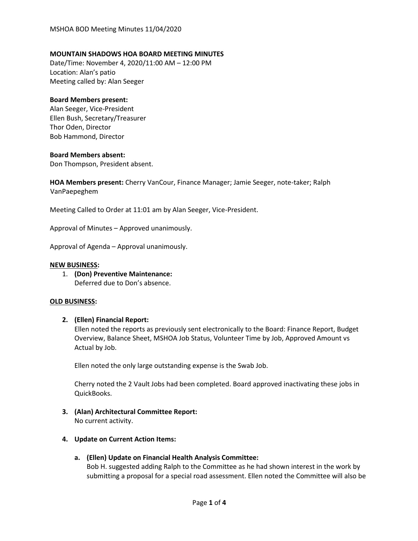# **MOUNTAIN SHADOWS HOA BOARD MEETING MINUTES**

Date/Time: November 4, 2020/11:00 AM – 12:00 PM Location: Alan's patio Meeting called by: Alan Seeger

### **Board Members present:**

Alan Seeger, Vice-President Ellen Bush, Secretary/Treasurer Thor Oden, Director Bob Hammond, Director

### **Board Members absent:**

Don Thompson, President absent.

**HOA Members present:** Cherry VanCour, Finance Manager; Jamie Seeger, note-taker; Ralph VanPaepeghem

Meeting Called to Order at 11:01 am by Alan Seeger, Vice-President.

Approval of Minutes – Approved unanimously.

Approval of Agenda – Approval unanimously.

### **NEW BUSINESS:**

1. **(Don) Preventive Maintenance:** Deferred due to Don's absence.

### **OLD BUSINESS:**

# **2. (Ellen) Financial Report:**

Ellen noted the reports as previously sent electronically to the Board: Finance Report, Budget Overview, Balance Sheet, MSHOA Job Status, Volunteer Time by Job, Approved Amount vs Actual by Job.

Ellen noted the only large outstanding expense is the Swab Job.

Cherry noted the 2 Vault Jobs had been completed. Board approved inactivating these jobs in QuickBooks.

**3. (Alan) Architectural Committee Report:**

No current activity.

# **4. Update on Current Action Items:**

# **a. (Ellen) Update on Financial Health Analysis Committee:**

Bob H. suggested adding Ralph to the Committee as he had shown interest in the work by submitting a proposal for a special road assessment. Ellen noted the Committee will also be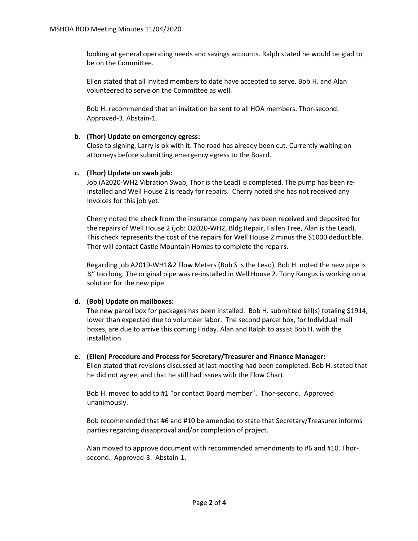looking at general operating needs and savings accounts. Ralph stated he would be glad to be on the Committee.

Ellen stated that all invited members to date have accepted to serve. Bob H. and Alan volunteered to serve on the Committee as well.

Bob H. recommended that an invitation be sent to all HOA members. Thor-second. Approved-3. Abstain-1.

### **b. (Thor) Update on emergency egress:**

Close to signing. Larry is ok with it. The road has already been cut. Currently waiting on attorneys before submitting emergency egress to the Board.

# **c. (Thor) Update on swab job:**

Job (A2020-WH2 Vibration Swab, Thor is the Lead) is completed. The pump has been reinstalled and Well House 2 is ready for repairs. Cherry noted she has not received any invoices for this job yet.

Cherry noted the check from the insurance company has been received and deposited for the repairs of Well House 2 (job: O2020-WH2, Bldg Repair, Fallen Tree, Alan is the Lead). This check represents the cost of the repairs for Well House 2 minus the \$1000 deductible. Thor will contact Castle Mountain Homes to complete the repairs.

Regarding job A2019-WH1&2 Flow Meters (Bob S is the Lead), Bob H. noted the new pipe is ¼" too long. The original pipe was re-installed in Well House 2. Tony Rangus is working on a solution for the new pipe.

# **d. (Bob) Update on mailboxes:**

The new parcel box for packages has been installed. Bob H. submitted bill(s) totaling \$1914, lower than expected due to volunteer labor. The second parcel box, for Individual mail boxes, are due to arrive this coming Friday. Alan and Ralph to assist Bob H. with the installation.

### **e. (Ellen) Procedure and Process for Secretary/Treasurer and Finance Manager:**

Ellen stated that revisions discussed at last meeting had been completed. Bob H. stated that he did not agree, and that he still had issues with the Flow Chart.

Bob H. moved to add to #1 "or contact Board member". Thor-second. Approved unanimously.

Bob recommended that #6 and #10 be amended to state that Secretary/Treasurer informs parties regarding disapproval and/or completion of project.

Alan moved to approve document with recommended amendments to #6 and #10. Thorsecond. Approved-3. Abstain-1.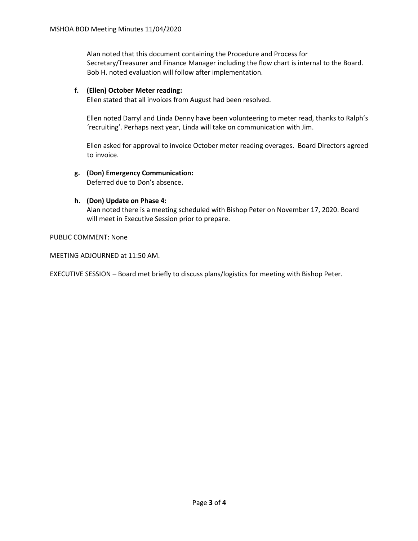Alan noted that this document containing the Procedure and Process for Secretary/Treasurer and Finance Manager including the flow chart is internal to the Board. Bob H. noted evaluation will follow after implementation.

# **f. (Ellen) October Meter reading:**

Ellen stated that all invoices from August had been resolved.

Ellen noted Darryl and Linda Denny have been volunteering to meter read, thanks to Ralph's 'recruiting'. Perhaps next year, Linda will take on communication with Jim.

Ellen asked for approval to invoice October meter reading overages. Board Directors agreed to invoice.

# **g. (Don) Emergency Communication:**

Deferred due to Don's absence.

### **h. (Don) Update on Phase 4:**

Alan noted there is a meeting scheduled with Bishop Peter on November 17, 2020. Board will meet in Executive Session prior to prepare.

PUBLIC COMMENT: None

MEETING ADJOURNED at 11:50 AM.

EXECUTIVE SESSION – Board met briefly to discuss plans/logistics for meeting with Bishop Peter.